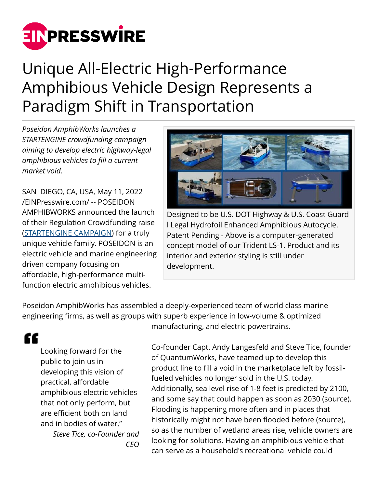

## Unique All-Electric High-Performance Amphibious Vehicle Design Represents a Paradigm Shift in Transportation

*Poseidon AmphibWorks launches a STARTENGINE crowdfunding campaign aiming to develop electric highway-legal amphibious vehicles to fill a current market void.*

SAN DIEGO, CA, USA, May 11, 2022 [/EINPresswire.com/](http://www.einpresswire.com) -- POSEIDON AMPHIBWORKS announced the launch of their Regulation Crowdfunding raise ([STARTENGINE CAMPAIGN](https://www.startengine.com/poseidon)) for a truly unique vehicle family. POSEIDON is an electric vehicle and marine engineering driven company focusing on affordable, high-performance multifunction electric amphibious vehicles.



Designed to be U.S. DOT Highway & U.S. Coast Guard l Legal Hydrofoil Enhanced Amphibious Autocycle. Patent Pending - Above is a computer-generated concept model of our Trident LS-1. Product and its interior and exterior styling is still under development.

Poseidon AmphibWorks has assembled a deeply-experienced team of world class marine engineering firms, as well as groups with superb experience in low-volume & optimized

## ££

Looking forward for the public to join us in developing this vision of practical, affordable amphibious electric vehicles that not only perform, but are efficient both on land and in bodies of water."

*Steve Tice, co-Founder and CEO*

manufacturing, and electric powertrains.

Co-founder Capt. Andy Langesfeld and Steve Tice, founder of QuantumWorks, have teamed up to develop this product line to fill a void in the marketplace left by fossilfueled vehicles no longer sold in the U.S. today. Additionally, sea level rise of 1-8 feet is predicted by 2100, and some say that could happen as soon as 2030 (source). Flooding is happening more often and in places that historically might not have been flooded before (source), so as the number of wetland areas rise, vehicle owners are looking for solutions. Having an amphibious vehicle that can serve as a household's recreational vehicle could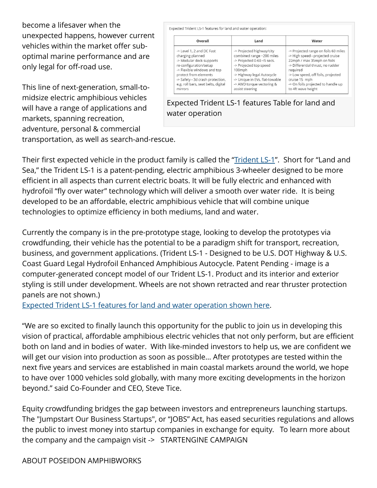become a lifesaver when the unexpected happens, however current vehicles within the market offer suboptimal marine performance and are only legal for off-road use.

This line of next-generation, small-tomidsize electric amphibious vehicles will have a range of applications and markets, spanning recreation, adventure, personal & commercial

Expected Trident LS-1 features for land and water operation: Overall Water Land -> Level 1, 2 and DC Fast -> Projected highway/city -> Projected range on foils 60 miles combined range ~200 miles > High speed - projected cruise charging planned -> Modular deck supports -> Projected 0-60 <5 secs. 22mph / max 35mph on foils re-configuration/setup -> Projected top speed -> Differential thrust, no rudder -> Flexible windows and top 100mph required protect from elements -> Highway legal Autocycle -> Low speed, off foils, projected -> Safety - 3d crash protection, -> Unique in EVs, flat-towable cruise 15 mph e.g. roll bars, seat belts, digital -> AWD torque vectoring & -> On foils projected to handle up assist steering mirrors to 4ft wave height

Expected Trident LS-1 features Table for land and water operation

transportation, as well as search-and-rescue.

Their first expected vehicle in the product family is called the "[Trident LS-1"](https://www.dropbox.com/s/szwgsvqp373x13m/6-up_no_words_collage.JPG?dl=0). Short for "Land and Sea," the Trident LS-1 is a patent-pending, electric amphibious 3-wheeler designed to be more efficient in all aspects than current electric boats. It will be fully electric and enhanced with hydrofoil "fly over water" technology which will deliver a smooth over water ride. It is being developed to be an affordable, electric amphibious vehicle that will combine unique technologies to optimize efficiency in both mediums, land and water.

Currently the company is in the pre-prototype stage, looking to develop the prototypes via crowdfunding, their vehicle has the potential to be a paradigm shift for transport, recreation, business, and government applications. (Trident LS-1 - Designed to be U.S. DOT Highway & U.S. Coast Guard Legal Hydrofoil Enhanced Amphibious Autocycle. Patent Pending - image is a computer-generated concept model of our Trident LS-1. Product and its interior and exterior styling is still under development. Wheels are not shown retracted and rear thruster protection panels are not shown.)

[Expected Trident LS-1 features for land and water operation shown here](https://www.dropbox.com/s/0m0199baanqbdwu/table_features.JPG?dl=0).

"We are so excited to finally launch this opportunity for the public to join us in developing this vision of practical, affordable amphibious electric vehicles that not only perform, but are efficient both on land and in bodies of water. With like-minded investors to help us, we are confident we will get our vision into production as soon as possible… After prototypes are tested within the next five years and services are established in main coastal markets around the world, we hope to have over 1000 vehicles sold globally, with many more exciting developments in the horizon beyond." said Co-Founder and CEO, Steve Tice.

Equity crowdfunding bridges the gap between investors and entrepreneurs launching startups. The "Jumpstart Our Business Startups", or "JOBS" Act, has eased securities regulations and allows the public to invest money into startup companies in exchange for equity. To learn more about the company and the campaign visit -> STARTENGINE CAMPAIGN

ABOUT POSEIDON AMPHIBWORKS